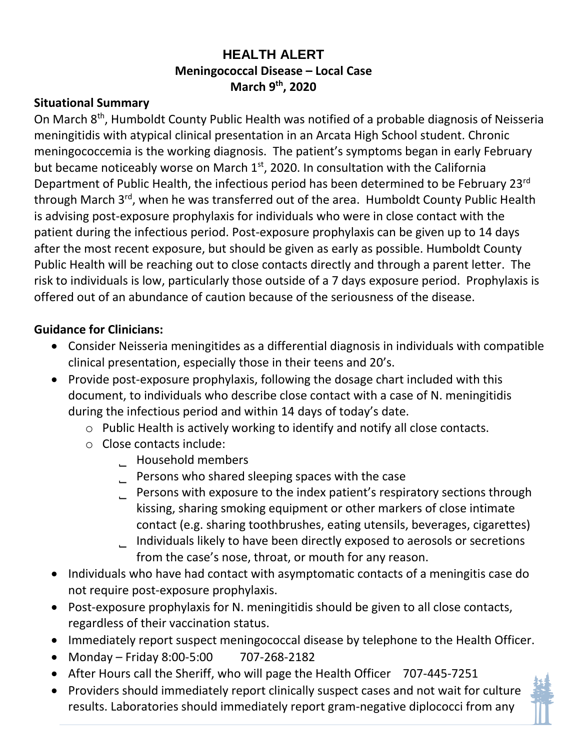## **HEALTH ALERT Meningococcal Disease – Local Case March 9th, 2020**

## **Situational Summary**

On March 8<sup>th</sup>, Humboldt County Public Health was notified of a probable diagnosis of Neisseria meningitidis with atypical clinical presentation in an Arcata High School student. Chronic meningococcemia is the working diagnosis. The patient's symptoms began in early February but became noticeably worse on March  $1<sup>st</sup>$ , 2020. In consultation with the California Department of Public Health, the infectious period has been determined to be February 23<sup>rd</sup> through March 3<sup>rd</sup>, when he was transferred out of the area. Humboldt County Public Health is advising post-exposure prophylaxis for individuals who were in close contact with the patient during the infectious period. Post-exposure prophylaxis can be given up to 14 days after the most recent exposure, but should be given as early as possible. Humboldt County Public Health will be reaching out to close contacts directly and through a parent letter. The risk to individuals is low, particularly those outside of a 7 days exposure period. Prophylaxis is offered out of an abundance of caution because of the seriousness of the disease.

## **Guidance for Clinicians:**

- Consider Neisseria meningitides as a differential diagnosis in individuals with compatible clinical presentation, especially those in their teens and 20's.
- Provide post-exposure prophylaxis, following the dosage chart included with this document, to individuals who describe close contact with a case of N. meningitidis during the infectious period and within 14 days of today's date.
	- o Public Health is actively working to identify and notify all close contacts.
	- o Close contacts include:
		- ˾ Household members
		- ˾ Persons who shared sleeping spaces with the case
		- ˾ Persons with exposure to the index patient's respiratory sections through kissing, sharing smoking equipment or other markers of close intimate contact (e.g. sharing toothbrushes, eating utensils, beverages, cigarettes) ˾ Individuals likely to have been directly exposed to aerosols or secretions
		- from the case's nose, throat, or mouth for any reason.
- Individuals who have had contact with asymptomatic contacts of a meningitis case do not require post-exposure prophylaxis.
- Post-exposure prophylaxis for N. meningitidis should be given to all close contacts, regardless of their vaccination status.
- Immediately report suspect meningococcal disease by telephone to the Health Officer.
- Monday Friday 8:00-5:00 707-268-2182
- After Hours call the Sheriff, who will page the Health Officer 707-445-7251
- Providers should immediately report clinically suspect cases and not wait for culture results. Laboratories should immediately report gram-negative diplococci from any